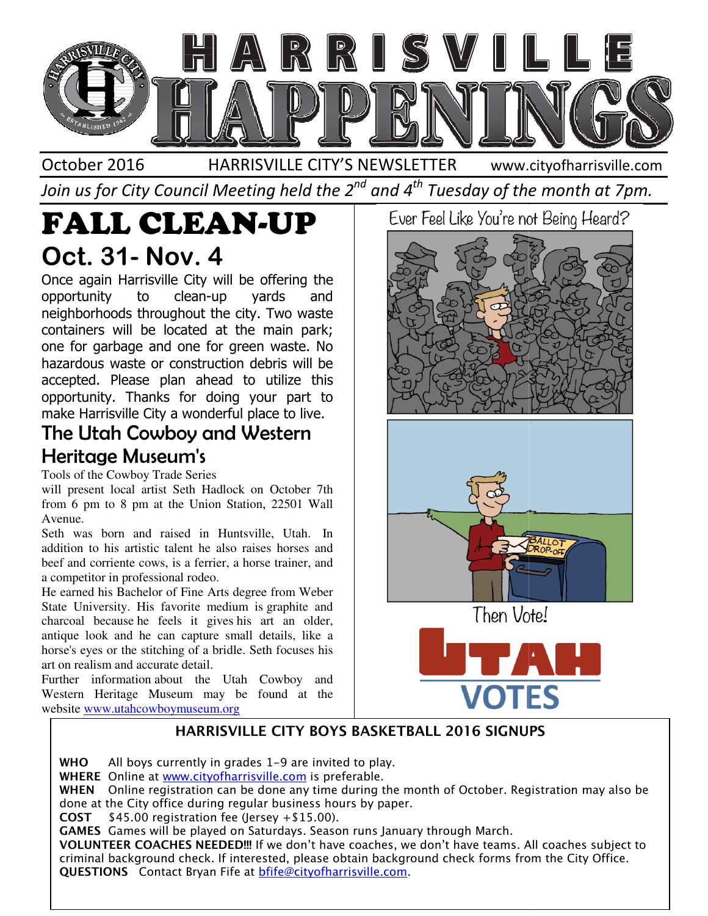

Join us for City Council Meeting held the 2 $^{\mathit{nd}}$  and 4 $^{\mathit{th}}$  Tuesday of the month at 7pm.

# FALL CLEAN-UP Oct. 31- Nov. 4

Once again Harrisville City will be offering the opportunity to clean-up yards and neighborhoods throughout the city. Two waste containers will be located at the main park; one for garbage and one for green waste. No hazardous waste or construction debris will be accepted. Please plan ahead to utilize this opportunity. Thanks for doing your part to make Harrisville City a wonderful place to live. again Harrisville City will be offering the<br>tunity to clean-up yards and<br>porhoods throughout the city. Two waste<br>ners will be located at the main park;<br>pr garbage and one for green waste. No<br>dous waste or construction debr accepted. Please plan ahead to utilize this<br>opportunity. Thanks for doing your part to<br>make Harrisville City a wonderful place to live.

### The Utah Cowboy and Western Heritage Museum's

Tools of the Cowboy Trade Series

will present local artist Seth Hadlock on October 7th from 6 pm to 8 pm at the Union Station, 22501 Wall Avenue. will present local artist Seth Hadlock on October 7th<br>from 6 pm to 8 pm at the Union Station, 22501 Wall<br>Avenue.<br>Seth was born and raised in Huntsville, Utah. In

addition to his artistic talent he also raises horses and beef and corriente cows, is a ferrier, a horse trainer, and a competitor in professional rodeo. ion to his artistic talent he also raises horses and<br>and corriente cows, is a ferrier, a horse trainer, and<br>npetitor in professional rodeo.<br>arned his Bachelor of Fine Arts degree from Weber<br>University. His favorite medium

He earned his Bachelor of Fine Arts degree from Weber State University. His favorite medium is graphite and charcoal because he feels it gives his art an older, antique look and he can capture small details, like a horse's eyes or the stitching of a bridle. Seth focuses his art on realism and accurate detail. charcoal because he feels it gives his art an olde<br>antique look and he can capture small details, like<br>horse's eyes or the stitching of a bridle. Seth focuses h<br>art on realism and accurate detail.<br>Further information about

Further information about the Utah Cowboy and Western Heritage Museum may be found at the website www.utahcowboymuseum.org

Ever Feel Like You're not Being Heard?





Then Vote!



### HARRISVILLE CITY BOYS BASKETBALL 2016 SIGNUPS

**WHO** All boys currently in grades  $1-9$  are invited to play. WHERE Online at www.cityofharrisville.com is preferable. **WHEN** Online registration can be done any time during the month of October. Registration may also be done at the City office during regular business hours by paper. done at the City office during regular business hou<br>**COST** \$45.00 registration fee (Jersey +\$15.00). GAMES Games will be played on Saturdays. Season runs January through March. VOLUNTEER COACHES NEEDED!!! If we don't have coaches, we don't have teams. All coaches subject to criminal background check. If interested, please obtain background check forms from the City Office.<br>**QUESTIONS** Contact Bryan Fife at <u>bfife@cityofharrisville.com</u>. QUESTIONS Contact Bryan Fife at **bfife@cityofharrisville.com**.